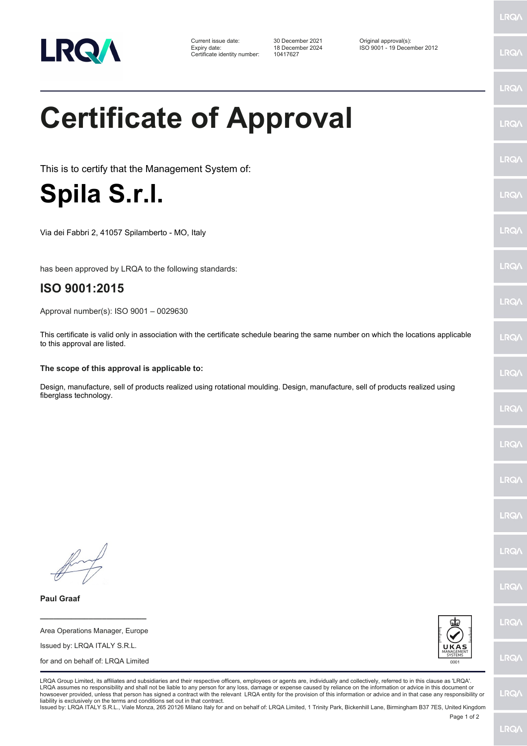

Certificate identity number: 10417627

Current issue date: 30 December 2021 Original approval(s): Expiry date: 18 December 2024 ISO 9001 - 19 December 2012

LRQ/

LRQ/

LRQ/

LRQ/

LRQ/

LRQ/

LRQ/

LRQ/

**LRQA** 

**LRO** 

LRQ/

LRQ/

LRQ/

LRQ/

LRQ/

**IRQA** 

LRQ/

LRQ/

LRQ/

LRQ/

## **Certificate of Approval** This is to certify that the Management System of:

## **Spila S.r.l.**

Via dei Fabbri 2, 41057 Spilamberto - MO, Italy

has been approved by LRQA to the following standards:

## **ISO 9001:2015**

Approval number(s): ISO 9001 – 0029630

This certificate is valid only in association with the certificate schedule bearing the same number on which the locations applicable to this approval are listed.

## **The scope of this approval is applicable to:**

Design, manufacture, sell of products realized using rotational moulding. Design, manufacture, sell of products realized using fiberglass technology.

**Paul Graaf**





LRQA Group Limited, its affiliates and subsidiaries and their respective officers, employees or agents are, individually and collectively, referred to in this clause as 'LRQA'. LRQA assumes no responsibility and shall not be liable to any person for any loss, damage or expense caused by reliance on the information or advice in this document or<br>howsoever provided, unless that person has signed a c liability is exclusively on the terms and conditions set out in that contract.

Issued by: LRQA ITALY S.R.L., Viale Monza, 265 20126 Milano Italy for and on behalf of: LRQA Limited, 1 Trinity Park, Bickenhill Lane, Birmingham B37 7ES, United Kingdom